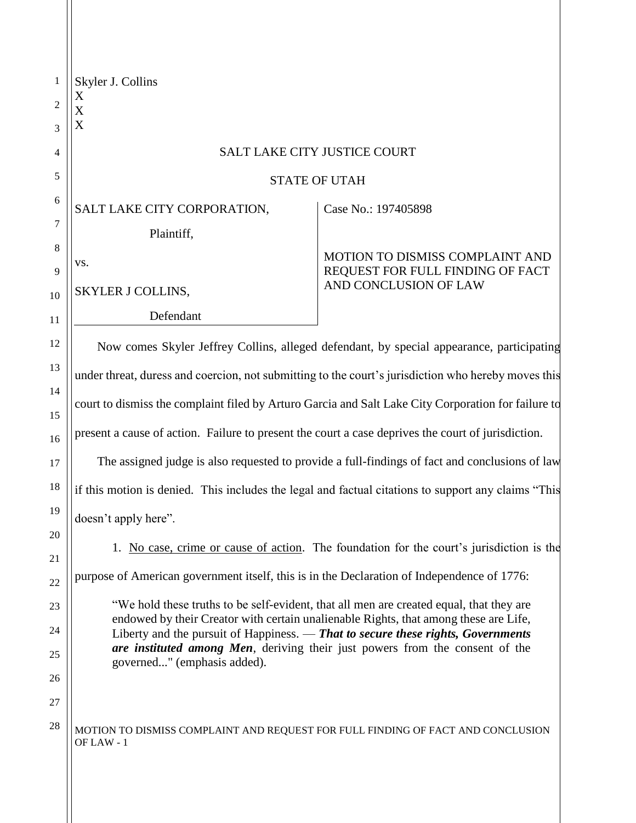| 1              | Skyler J. Collins<br>X                                                                              |                                                                                                                                                                                 |  |
|----------------|-----------------------------------------------------------------------------------------------------|---------------------------------------------------------------------------------------------------------------------------------------------------------------------------------|--|
| $\overline{2}$ | X                                                                                                   |                                                                                                                                                                                 |  |
| 3              | X                                                                                                   |                                                                                                                                                                                 |  |
| 4              |                                                                                                     | <b>SALT LAKE CITY JUSTICE COURT</b>                                                                                                                                             |  |
| 5              | <b>STATE OF UTAH</b>                                                                                |                                                                                                                                                                                 |  |
| 6              | SALT LAKE CITY CORPORATION,                                                                         | Case No.: 197405898                                                                                                                                                             |  |
| 7              | Plaintiff,                                                                                          |                                                                                                                                                                                 |  |
| 8              | VS.                                                                                                 | MOTION TO DISMISS COMPLAINT AND                                                                                                                                                 |  |
| 9<br>10        | SKYLER J COLLINS,                                                                                   | REQUEST FOR FULL FINDING OF FACT<br>AND CONCLUSION OF LAW                                                                                                                       |  |
| 11             | Defendant                                                                                           |                                                                                                                                                                                 |  |
| 12             |                                                                                                     | Now comes Skyler Jeffrey Collins, alleged defendant, by special appearance, participating                                                                                       |  |
| 13             | under threat, duress and coercion, not submitting to the court's jurisdiction who hereby moves this |                                                                                                                                                                                 |  |
| 14             |                                                                                                     |                                                                                                                                                                                 |  |
| 15             | court to dismiss the complaint filed by Arturo Garcia and Salt Lake City Corporation for failure to |                                                                                                                                                                                 |  |
| 16             | present a cause of action. Failure to present the court a case deprives the court of jurisdiction.  |                                                                                                                                                                                 |  |
| 17             |                                                                                                     | The assigned judge is also requested to provide a full-findings of fact and conclusions of law                                                                                  |  |
| 18             | if this motion is denied. This includes the legal and factual citations to support any claims "This |                                                                                                                                                                                 |  |
| 19             | doesn't apply here".                                                                                |                                                                                                                                                                                 |  |
| 20             |                                                                                                     | 1. No case, crime or cause of action. The foundation for the court's jurisdiction is the                                                                                        |  |
| 21             | purpose of American government itself, this is in the Declaration of Independence of 1776:          |                                                                                                                                                                                 |  |
| 22             |                                                                                                     |                                                                                                                                                                                 |  |
| 23             |                                                                                                     | "We hold these truths to be self-evident, that all men are created equal, that they are<br>endowed by their Creator with certain unalienable Rights, that among these are Life, |  |
| 24             |                                                                                                     | Liberty and the pursuit of Happiness. — That to secure these rights, Governments<br>are instituted among Men, deriving their just powers from the consent of the                |  |
| 25<br>26       | governed" (emphasis added).                                                                         |                                                                                                                                                                                 |  |
| 27             |                                                                                                     |                                                                                                                                                                                 |  |
| 28             | MOTION TO DISMISS COMPLAINT AND REQUEST FOR FULL FINDING OF FACT AND CONCLUSION<br>OF LAW - 1       |                                                                                                                                                                                 |  |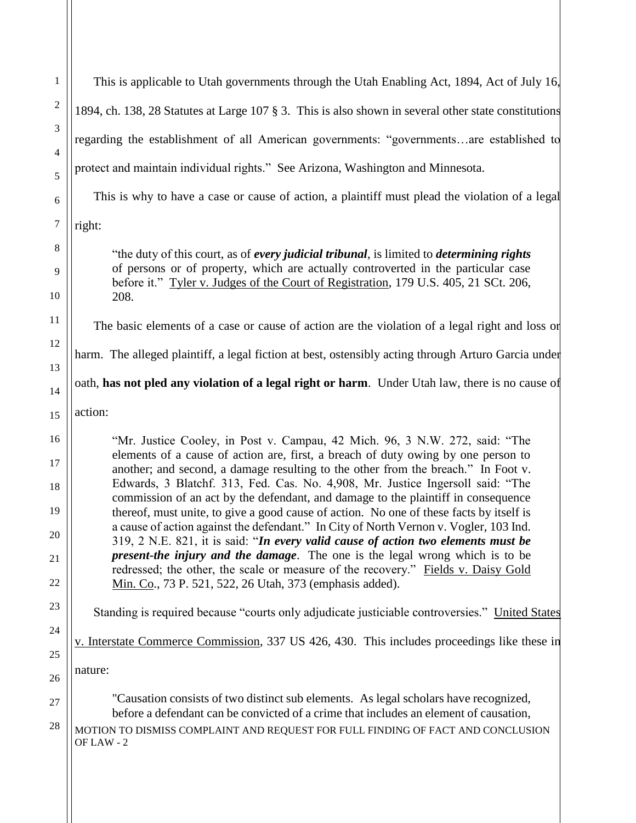| $\mathbf{1}$                           | This is applicable to Utah governments through the Utah Enabling Act, 1894, Act of July 16,                                                                                                                                                                                                                                                                                                                                                                                                                                                                                                                                                                                                                                                                                                                                                                                                                                            |
|----------------------------------------|----------------------------------------------------------------------------------------------------------------------------------------------------------------------------------------------------------------------------------------------------------------------------------------------------------------------------------------------------------------------------------------------------------------------------------------------------------------------------------------------------------------------------------------------------------------------------------------------------------------------------------------------------------------------------------------------------------------------------------------------------------------------------------------------------------------------------------------------------------------------------------------------------------------------------------------|
| $\overline{c}$                         | 1894, ch. 138, 28 Statutes at Large 107 § 3. This is also shown in several other state constitutions                                                                                                                                                                                                                                                                                                                                                                                                                                                                                                                                                                                                                                                                                                                                                                                                                                   |
| 3                                      | regarding the establishment of all American governments: "governmentsare established to                                                                                                                                                                                                                                                                                                                                                                                                                                                                                                                                                                                                                                                                                                                                                                                                                                                |
| $\overline{4}$<br>5                    | protect and maintain individual rights." See Arizona, Washington and Minnesota.                                                                                                                                                                                                                                                                                                                                                                                                                                                                                                                                                                                                                                                                                                                                                                                                                                                        |
| 6                                      | This is why to have a case or cause of action, a plaintiff must plead the violation of a legal                                                                                                                                                                                                                                                                                                                                                                                                                                                                                                                                                                                                                                                                                                                                                                                                                                         |
| $\tau$                                 | right:                                                                                                                                                                                                                                                                                                                                                                                                                                                                                                                                                                                                                                                                                                                                                                                                                                                                                                                                 |
| 8<br>9<br>10                           | "the duty of this court, as of every judicial tribunal, is limited to determining rights<br>of persons or of property, which are actually controverted in the particular case<br>before it." Tyler v. Judges of the Court of Registration, 179 U.S. 405, 21 SCt. 206,<br>208.                                                                                                                                                                                                                                                                                                                                                                                                                                                                                                                                                                                                                                                          |
| 11                                     | The basic elements of a case or cause of action are the violation of a legal right and loss or                                                                                                                                                                                                                                                                                                                                                                                                                                                                                                                                                                                                                                                                                                                                                                                                                                         |
| 12                                     | harm. The alleged plaintiff, a legal fiction at best, ostensibly acting through Arturo Garcia under                                                                                                                                                                                                                                                                                                                                                                                                                                                                                                                                                                                                                                                                                                                                                                                                                                    |
| 13<br>14                               | oath, has not pled any violation of a legal right or harm. Under Utah law, there is no cause of                                                                                                                                                                                                                                                                                                                                                                                                                                                                                                                                                                                                                                                                                                                                                                                                                                        |
| 15                                     | action:                                                                                                                                                                                                                                                                                                                                                                                                                                                                                                                                                                                                                                                                                                                                                                                                                                                                                                                                |
| 16<br>17<br>18<br>19<br>20<br>21<br>22 | "Mr. Justice Cooley, in Post v. Campau, 42 Mich. 96, 3 N.W. 272, said: "The<br>elements of a cause of action are, first, a breach of duty owing by one person to<br>another; and second, a damage resulting to the other from the breach." In Foot v.<br>Edwards, 3 Blatchf. 313, Fed. Cas. No. 4,908, Mr. Justice Ingersoll said: "The<br>commission of an act by the defendant, and damage to the plaintiff in consequence<br>thereof, must unite, to give a good cause of action. No one of these facts by itself is<br>a cause of action against the defendant." In City of North Vernon v. Vogler, 103 Ind.<br>319, 2 N.E. 821, it is said: "In every valid cause of action two elements must be<br>present-the injury and the damage. The one is the legal wrong which is to be<br>redressed; the other, the scale or measure of the recovery." Fields v. Daisy Gold<br>Min. Co., 73 P. 521, 522, 26 Utah, 373 (emphasis added). |
| 23                                     | Standing is required because "courts only adjudicate justiciable controversies." United States                                                                                                                                                                                                                                                                                                                                                                                                                                                                                                                                                                                                                                                                                                                                                                                                                                         |
| 24<br>25                               | v. Interstate Commerce Commission, 337 US 426, 430. This includes proceedings like these in                                                                                                                                                                                                                                                                                                                                                                                                                                                                                                                                                                                                                                                                                                                                                                                                                                            |
| 26                                     | nature:                                                                                                                                                                                                                                                                                                                                                                                                                                                                                                                                                                                                                                                                                                                                                                                                                                                                                                                                |
| 27<br>28                               | "Causation consists of two distinct sub elements. As legal scholars have recognized,<br>before a defendant can be convicted of a crime that includes an element of causation,<br>MOTION TO DISMISS COMPLAINT AND REQUEST FOR FULL FINDING OF FACT AND CONCLUSION<br>OF LAW - 2                                                                                                                                                                                                                                                                                                                                                                                                                                                                                                                                                                                                                                                         |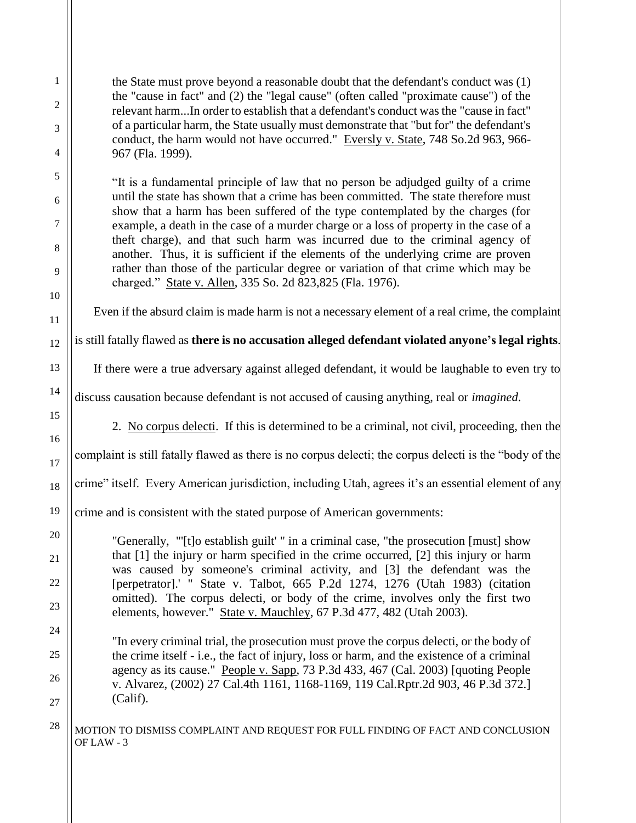the State must prove beyond a reasonable doubt that the defendant's conduct was (1) the "cause in fact" and (2) the "legal cause" (often called "proximate cause") of the relevant harm...In order to establish that a defendant's conduct was the "cause in fact" of a particular harm, the State usually must demonstrate that "but for" the defendant's conduct, the harm would not have occurred." Eversly v. State, 748 So.2d 963, 966- 967 (Fla. 1999).

"It is a fundamental principle of law that no person be adjudged guilty of a crime until the state has shown that a crime has been committed. The state therefore must show that a harm has been suffered of the type contemplated by the charges (for example, a death in the case of a murder charge or a loss of property in the case of a theft charge), and that such harm was incurred due to the criminal agency of another. Thus, it is sufficient if the elements of the underlying crime are proven rather than those of the particular degree or variation of that crime which may be charged." State v. Allen, 335 So. 2d 823,825 (Fla. 1976).

Even if the absurd claim is made harm is not a necessary element of a real crime, the complaint

is still fatally flawed as **there is no accusation alleged defendant violated anyone's legal rights**.

If there were a true adversary against alleged defendant, it would be laughable to even try to

discuss causation because defendant is not accused of causing anything, real or *imagined*.

2. No corpus delecti. If this is determined to be a criminal, not civil, proceeding, then the

complaint is still fatally flawed as there is no corpus delecti; the corpus delecti is the "body of the

crime" itself. Every American jurisdiction, including Utah, agrees it's an essential element of any

crime and is consistent with the stated purpose of American governments:

"Generally, "'[t]o establish guilt' " in a criminal case, "the prosecution [must] show that [1] the injury or harm specified in the crime occurred, [2] this injury or harm was caused by someone's criminal activity, and [3] the defendant was the [perpetrator].' " State v. Talbot, 665 P.2d 1274, 1276 (Utah 1983) (citation omitted). The corpus delecti, or body of the crime, involves only the first two elements, however." State v. Mauchley, 67 P.3d 477, 482 (Utah 2003).

"In every criminal trial, the prosecution must prove the corpus delecti, or the body of the crime itself - i.e., the fact of injury, loss or harm, and the existence of a criminal agency as its cause." People v. Sapp, 73 P.3d 433, 467 (Cal. 2003) [quoting People v. Alvarez, (2002) 27 Cal.4th 1161, 1168-1169, 119 Cal.Rptr.2d 903, 46 P.3d 372.] (Calif).

## $28$   $\vert$  MOTION TO DISMISS COMPLAINT AND REQUEST FOR FULL FINDING OF FACT AND CONCLUSION OF LAW - 3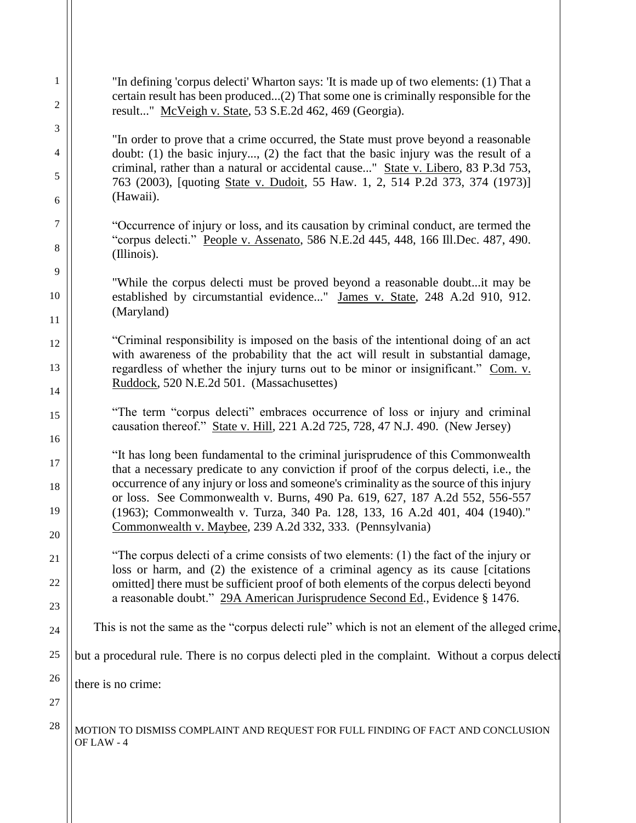| $\mathbf{1}$                                                                                                                               | "In defining 'corpus delecti' Wharton says: 'It is made up of two elements: (1) That a                                                                                     |  |
|--------------------------------------------------------------------------------------------------------------------------------------------|----------------------------------------------------------------------------------------------------------------------------------------------------------------------------|--|
| 2                                                                                                                                          | certain result has been produced(2) That some one is criminally responsible for the<br>result" McVeigh v. State, 53 S.E.2d 462, 469 (Georgia).                             |  |
| 3                                                                                                                                          | "In order to prove that a crime occurred, the State must prove beyond a reasonable                                                                                         |  |
| 4                                                                                                                                          | doubt: (1) the basic injury, (2) the fact that the basic injury was the result of a<br>criminal, rather than a natural or accidental cause" State v. Libero, 83 P.3d 753,  |  |
| 5<br>(Hawaii).<br>6                                                                                                                        | 763 (2003), [quoting State v. Dudoit, 55 Haw. 1, 2, 514 P.2d 373, 374 (1973)]                                                                                              |  |
| 7                                                                                                                                          | "Occurrence of injury or loss, and its causation by criminal conduct, are termed the                                                                                       |  |
| 8                                                                                                                                          | "corpus delecti." People v. Assenato, 586 N.E.2d 445, 448, 166 Ill.Dec. 487, 490.<br>(Illinois).                                                                           |  |
| 9<br>10                                                                                                                                    | "While the corpus delecti must be proved beyond a reasonable doubtit may be                                                                                                |  |
|                                                                                                                                            | established by circumstantial evidence" James v. State, 248 A.2d 910, 912.<br>(Maryland)                                                                                   |  |
| 11                                                                                                                                         | "Criminal responsibility is imposed on the basis of the intentional doing of an act                                                                                        |  |
| 12                                                                                                                                         | with awareness of the probability that the act will result in substantial damage,                                                                                          |  |
| 13<br>regardless of whether the injury turns out to be minor or insignificant." Com. v.<br>Ruddock, 520 N.E.2d 501. (Massachusettes)<br>14 |                                                                                                                                                                            |  |
| 15                                                                                                                                         | "The term "corpus delecti" embraces occurrence of loss or injury and criminal                                                                                              |  |
| 16                                                                                                                                         | causation thereof." State v. Hill, 221 A.2d 725, 728, 47 N.J. 490. (New Jersey)                                                                                            |  |
| 17                                                                                                                                         | "It has long been fundamental to the criminal jurisprudence of this Commonwealth<br>that a necessary predicate to any conviction if proof of the corpus delecti, i.e., the |  |
| 18                                                                                                                                         | occurrence of any injury or loss and someone's criminality as the source of this injury<br>or loss. See Commonwealth v. Burns, 490 Pa. 619, 627, 187 A.2d 552, 556-557     |  |
| 19<br>20                                                                                                                                   | (1963); Commonwealth v. Turza, 340 Pa. 128, 133, 16 A.2d 401, 404 (1940)."<br>Commonwealth v. Maybee, 239 A.2d 332, 333. (Pennsylvania)                                    |  |
| 21                                                                                                                                         | "The corpus delecti of a crime consists of two elements: (1) the fact of the injury or                                                                                     |  |
| 22                                                                                                                                         | loss or harm, and (2) the existence of a criminal agency as its cause [citations<br>omitted] there must be sufficient proof of both elements of the corpus delecti beyond  |  |
| 23                                                                                                                                         | a reasonable doubt." 29A American Jurisprudence Second Ed., Evidence § 1476.                                                                                               |  |
| 24                                                                                                                                         | This is not the same as the "corpus delecti rule" which is not an element of the alleged crime,                                                                            |  |
| 25                                                                                                                                         | but a procedural rule. There is no corpus delecti pled in the complaint. Without a corpus delecti                                                                          |  |
| 26                                                                                                                                         | there is no crime:                                                                                                                                                         |  |
| 27                                                                                                                                         |                                                                                                                                                                            |  |
| 28                                                                                                                                         | MOTION TO DISMISS COMPLAINT AND REQUEST FOR FULL FINDING OF FACT AND CONCLUSION<br>OF LAW - 4                                                                              |  |
|                                                                                                                                            |                                                                                                                                                                            |  |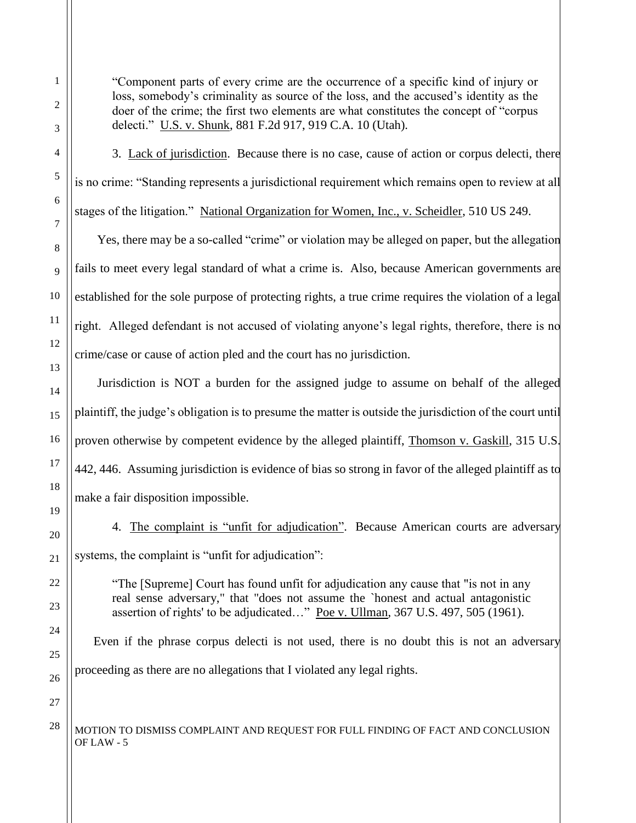"Component parts of every crime are the occurrence of a specific kind of injury or loss, somebody's criminality as source of the loss, and the accused's identity as the doer of the crime; the first two elements are what constitutes the concept of "corpus delecti." U.S. v. Shunk, 881 F.2d 917, 919 C.A. 10 (Utah).

3. Lack of jurisdiction. Because there is no case, cause of action or corpus delecti, there is no crime: "Standing represents a jurisdictional requirement which remains open to review at all stages of the litigation." National Organization for Women, Inc., v. Scheidler, 510 US 249.

Yes, there may be a so-called "crime" or violation may be alleged on paper, but the allegation fails to meet every legal standard of what a crime is. Also, because American governments are established for the sole purpose of protecting rights, a true crime requires the violation of a legal right. Alleged defendant is not accused of violating anyone's legal rights, therefore, there is no crime/case or cause of action pled and the court has no jurisdiction.

Jurisdiction is NOT a burden for the assigned judge to assume on behalf of the alleged plaintiff, the judge's obligation is to presume the matter is outside the jurisdiction of the court until proven otherwise by competent evidence by the alleged plaintiff, Thomson v. Gaskill, 315 U.S. 442, 446. Assuming jurisdiction is evidence of bias so strong in favor of the alleged plaintiff as to make a fair disposition impossible.

4. The complaint is "unfit for adjudication". Because American courts are adversary systems, the complaint is "unfit for adjudication":

"The [Supreme] Court has found unfit for adjudication any cause that "is not in any real sense adversary," that "does not assume the `honest and actual antagonistic assertion of rights' to be adjudicated…" Poe v. Ullman, 367 U.S. 497, 505 (1961).

Even if the phrase corpus delecti is not used, there is no doubt this is not an adversary proceeding as there are no allegations that I violated any legal rights.

 $28$   $\vert$  MOTION TO DISMISS COMPLAINT AND REQUEST FOR FULL FINDING OF FACT AND CONCLUSION OF LAW - 5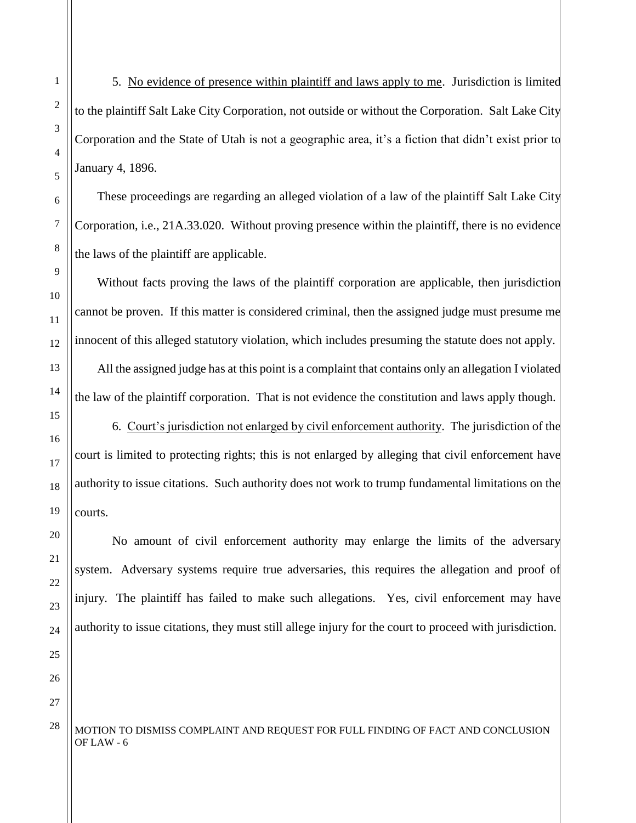5. No evidence of presence within plaintiff and laws apply to me. Jurisdiction is limited to the plaintiff Salt Lake City Corporation, not outside or without the Corporation. Salt Lake City Corporation and the State of Utah is not a geographic area, it's a fiction that didn't exist prior to January 4, 1896.

These proceedings are regarding an alleged violation of a law of the plaintiff Salt Lake City Corporation, i.e., 21A.33.020. Without proving presence within the plaintiff, there is no evidence the laws of the plaintiff are applicable.

Without facts proving the laws of the plaintiff corporation are applicable, then jurisdiction cannot be proven. If this matter is considered criminal, then the assigned judge must presume me innocent of this alleged statutory violation, which includes presuming the statute does not apply. All the assigned judge has at this point is a complaint that contains only an allegation I violated the law of the plaintiff corporation. That is not evidence the constitution and laws apply though.

6. Court's jurisdiction not enlarged by civil enforcement authority. The jurisdiction of the court is limited to protecting rights; this is not enlarged by alleging that civil enforcement have authority to issue citations. Such authority does not work to trump fundamental limitations on the courts.

No amount of civil enforcement authority may enlarge the limits of the adversary system. Adversary systems require true adversaries, this requires the allegation and proof of injury. The plaintiff has failed to make such allegations. Yes, civil enforcement may have authority to issue citations, they must still allege injury for the court to proceed with jurisdiction.

 $28$   $\vert$  MOTION TO DISMISS COMPLAINT AND REQUEST FOR FULL FINDING OF FACT AND CONCLUSION OF LAW - 6